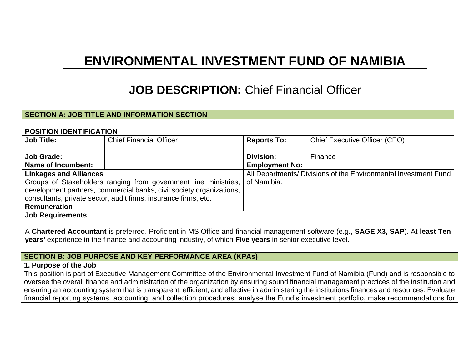# **ENVIRONMENTAL INVESTMENT FUND OF NAMIBIA**

# **JOB DESCRIPTION:** Chief Financial Officer

#### **SECTION A: JOB TITLE AND INFORMATION SECTION**

| <b>POSITION IDENTIFICATION</b>                                       |                                |                                                                 |                                      |  |
|----------------------------------------------------------------------|--------------------------------|-----------------------------------------------------------------|--------------------------------------|--|
| <b>Job Title:</b>                                                    | <b>Chief Financial Officer</b> | <b>Reports To:</b>                                              | <b>Chief Executive Officer (CEO)</b> |  |
|                                                                      |                                |                                                                 |                                      |  |
| <b>Job Grade:</b>                                                    |                                | <b>Division:</b>                                                | Finance                              |  |
| Name of Incumbent:                                                   |                                | <b>Employment No:</b>                                           |                                      |  |
| <b>Linkages and Alliances</b>                                        |                                | All Departments/ Divisions of the Environmental Investment Fund |                                      |  |
| Groups of Stakeholders ranging from government line ministries,      |                                | of Namibia.                                                     |                                      |  |
| development partners, commercial banks, civil society organizations, |                                |                                                                 |                                      |  |
| consultants, private sector, audit firms, insurance firms, etc.      |                                |                                                                 |                                      |  |
| <b>Remuneration</b>                                                  |                                |                                                                 |                                      |  |
| <b>Job Requirements</b>                                              |                                |                                                                 |                                      |  |

A **Chartered Accountant** is preferred. Proficient in MS Office and financial management software (e.g., **SAGE X3, SAP**). At **least Ten years'** experience in the finance and accounting industry, of which **Five years** in senior executive level.

#### **SECTION B: JOB PURPOSE AND KEY PERFORMANCE AREA (KPAs)**

#### **1. Purpose of the Job**

This position is part of Executive Management Committee of the Environmental Investment Fund of Namibia (Fund) and is responsible to oversee the overall finance and administration of the organization by ensuring sound financial management practices of the institution and ensuring an accounting system that is transparent, efficient, and effective in administering the institutions finances and resources. Evaluate financial reporting systems, accounting, and collection procedures; analyse the Fund's investment portfolio, make recommendations for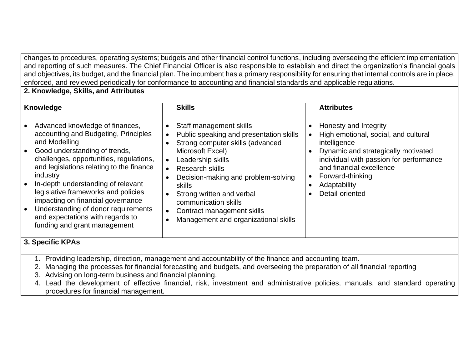changes to procedures, operating systems; budgets and other financial control functions, including overseeing the efficient implementation and reporting of such measures. The Chief Financial Officer is also responsible to establish and direct the organization's financial goals and objectives, its budget, and the financial plan. The incumbent has a primary responsibility for ensuring that internal controls are in place, enforced, and reviewed periodically for conformance to accounting and financial standards and applicable regulations.

## **2. Knowledge, Skills, and Attributes**

| Advanced knowledge of finances,<br>Staff management skills<br>accounting and Budgeting, Principles<br>Public speaking and presentation skills<br>and Modelling<br>Strong computer skills (advanced<br>Good understanding of trends,<br>Microsoft Excel)<br>$\bullet$<br>challenges, opportunities, regulations,<br>Leadership skills<br>and legislations relating to the finance<br><b>Research skills</b><br>industry<br>Decision-making and problem-solving<br>In-depth understanding of relevant<br><b>skills</b><br>legislative frameworks and policies<br>Strong written and verbal<br>impacting on financial governance<br>communication skills<br>Understanding of donor requirements<br>Contract management skills<br>and expectations with regards to<br>Management and organizational skills<br>funding and grant management<br>$2$ Cassific I/DAs | Honesty and Integrity<br>High emotional, social, and cultural<br>intelligence<br>Dynamic and strategically motivated<br>individual with passion for performance<br>and financial excellence<br>Forward-thinking<br>Adaptability<br>Detail-oriented<br>$\bullet$ |
|--------------------------------------------------------------------------------------------------------------------------------------------------------------------------------------------------------------------------------------------------------------------------------------------------------------------------------------------------------------------------------------------------------------------------------------------------------------------------------------------------------------------------------------------------------------------------------------------------------------------------------------------------------------------------------------------------------------------------------------------------------------------------------------------------------------------------------------------------------------|-----------------------------------------------------------------------------------------------------------------------------------------------------------------------------------------------------------------------------------------------------------------|

### **3. Specific KPAs**

- 1. Providing leadership, direction, management and accountability of the finance and accounting team.
- 2. Managing the processes for financial forecasting and budgets, and overseeing the preparation of all financial reporting
- 3. Advising on long-term business and financial planning.
- 4. Lead the development of effective financial, risk, investment and administrative policies, manuals, and standard operating procedures for financial management.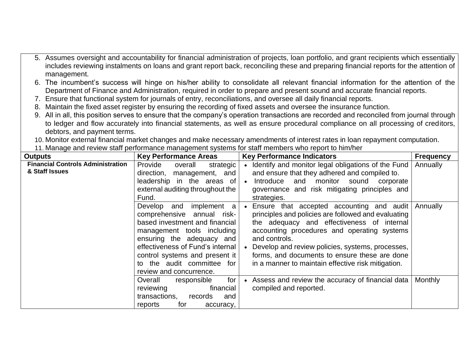- 5. Assumes oversight and accountability for financial administration of projects, loan portfolio, and grant recipients which essentially includes reviewing instalments on loans and grant report back, reconciling these and preparing financial reports for the attention of management.
- 6. The incumbent's success will hinge on his/her ability to consolidate all relevant financial information for the attention of the Department of Finance and Administration, required in order to prepare and present sound and accurate financial reports.
- 7. Ensure that functional system for journals of entry, reconciliations, and oversee all daily financial reports.
- 8. Maintain the fixed asset register by ensuring the recording of fixed assets and oversee the insurance function.
- 9. All in all, this position serves to ensure that the company's operation transactions are recorded and reconciled from journal through to ledger and flow accurately into financial statements, as well as ensure procedural compliance on all processing of creditors, debtors, and payment terms.
- 10. Monitor external financial market changes and make necessary amendments of interest rates in loan repayment computation.
- 11. Manage and review staff performance management systems for staff members who report to him/her

| <b>Outputs</b>                                             | <b>Key Performance Areas</b>                                                                                                                                                                                                                                                            | <b>Key Performance Indicators</b>                                                                                                                                                                                                                                                                                                                                           | <b>Frequency</b> |
|------------------------------------------------------------|-----------------------------------------------------------------------------------------------------------------------------------------------------------------------------------------------------------------------------------------------------------------------------------------|-----------------------------------------------------------------------------------------------------------------------------------------------------------------------------------------------------------------------------------------------------------------------------------------------------------------------------------------------------------------------------|------------------|
| <b>Financial Controls Administration</b><br>& Staff Issues | Provide<br>overall<br>strategic<br>management, and<br>direction,<br>leadership in the areas of<br>external auditing throughout the<br>Fund.                                                                                                                                             | • Identify and monitor legal obligations of the Fund<br>and ensure that they adhered and compiled to.<br>and monitor<br>Introduce<br>sound<br>corporate<br>$\bullet$<br>governance and risk mitigating principles and<br>strategies.                                                                                                                                        | Annually         |
|                                                            | implement a<br>Develop<br>and<br>comprehensive annual risk-<br>based investment and financial<br>management tools including<br>ensuring the adequacy and<br>effectiveness of Fund's internal<br>control systems and present it<br>to the audit committee for<br>review and concurrence. | • Ensure that accepted accounting and audit<br>principles and policies are followed and evaluating<br>the adequacy and effectiveness of internal<br>accounting procedures and operating systems<br>and controls.<br>Develop and review policies, systems, processes,<br>forms, and documents to ensure these are done<br>in a manner to maintain effective risk mitigation. | Annually         |
|                                                            | for<br>Overall<br>responsible<br>reviewing<br>financial<br>transactions,<br>records<br>and<br>for<br>reports<br>accuracy,                                                                                                                                                               | Assess and review the accuracy of financial data<br>$\bullet$<br>compiled and reported.                                                                                                                                                                                                                                                                                     | Monthly          |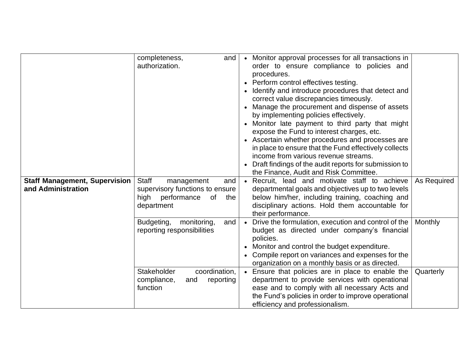| <b>Staff Management, Supervision</b><br>and Administration | completeness,<br>and<br>authorization.<br>Staff<br>management<br>and<br>supervisory functions to ensure | • Monitor approval processes for all transactions in<br>order to ensure compliance to policies and<br>procedures.<br>Perform control effectives testing.<br>Identify and introduce procedures that detect and<br>correct value discrepancies timeously.<br>Manage the procurement and dispense of assets<br>by implementing policies effectively.<br>• Monitor late payment to third party that might<br>expose the Fund to interest charges, etc.<br>• Ascertain whether procedures and processes are<br>in place to ensure that the Fund effectively collects<br>income from various revenue streams.<br>• Draft findings of the audit reports for submission to<br>the Finance, Audit and Risk Committee.<br>• Recruit, lead and motivate staff to achieve<br>departmental goals and objectives up to two levels | As Required |
|------------------------------------------------------------|---------------------------------------------------------------------------------------------------------|---------------------------------------------------------------------------------------------------------------------------------------------------------------------------------------------------------------------------------------------------------------------------------------------------------------------------------------------------------------------------------------------------------------------------------------------------------------------------------------------------------------------------------------------------------------------------------------------------------------------------------------------------------------------------------------------------------------------------------------------------------------------------------------------------------------------|-------------|
|                                                            | high<br>performance<br>0f<br>the<br>department                                                          | below him/her, including training, coaching and<br>disciplinary actions. Hold them accountable for<br>their performance.                                                                                                                                                                                                                                                                                                                                                                                                                                                                                                                                                                                                                                                                                            |             |
|                                                            | Budgeting,<br>monitoring,<br>and<br>reporting responsibilities                                          | • Drive the formulation, execution and control of the<br>budget as directed under company's financial<br>policies.<br>Monitor and control the budget expenditure.<br>Compile report on variances and expenses for the<br>organization on a monthly basis or as directed.                                                                                                                                                                                                                                                                                                                                                                                                                                                                                                                                            | Monthly     |
|                                                            | Stakeholder<br>coordination,<br>compliance,<br>reporting<br>and<br>function                             | Ensure that policies are in place to enable the<br>department to provide services with operational<br>ease and to comply with all necessary Acts and<br>the Fund's policies in order to improve operational<br>efficiency and professionalism.                                                                                                                                                                                                                                                                                                                                                                                                                                                                                                                                                                      | Quarterly   |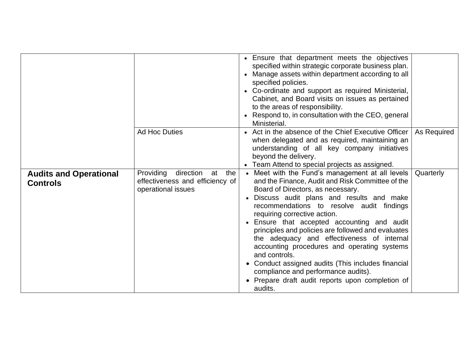|                                                  |                                                                                           | • Ensure that department meets the objectives<br>specified within strategic corporate business plan.<br>• Manage assets within department according to all<br>specified policies.<br>• Co-ordinate and support as required Ministerial,<br>Cabinet, and Board visits on issues as pertained<br>to the areas of responsibility.<br>• Respond to, in consultation with the CEO, general<br>Ministerial.                                                                                                                                                                                                                                                   |             |
|--------------------------------------------------|-------------------------------------------------------------------------------------------|---------------------------------------------------------------------------------------------------------------------------------------------------------------------------------------------------------------------------------------------------------------------------------------------------------------------------------------------------------------------------------------------------------------------------------------------------------------------------------------------------------------------------------------------------------------------------------------------------------------------------------------------------------|-------------|
|                                                  | <b>Ad Hoc Duties</b>                                                                      | • Act in the absence of the Chief Executive Officer<br>when delegated and as required, maintaining an<br>understanding of all key company initiatives<br>beyond the delivery.<br>• Team Attend to special projects as assigned.                                                                                                                                                                                                                                                                                                                                                                                                                         | As Required |
| <b>Audits and Operational</b><br><b>Controls</b> | Providing<br>direction at<br>the<br>effectiveness and efficiency of<br>operational issues | Meet with the Fund's management at all levels<br>and the Finance, Audit and Risk Committee of the<br>Board of Directors, as necessary.<br>Discuss audit plans and results and make<br>recommendations to resolve audit findings<br>requiring corrective action.<br>• Ensure that accepted accounting and audit<br>principles and policies are followed and evaluates<br>the adequacy and effectiveness of internal<br>accounting procedures and operating systems<br>and controls.<br>Conduct assigned audits (This includes financial<br>$\bullet$<br>compliance and performance audits).<br>Prepare draft audit reports upon completion of<br>audits. | Quarterly   |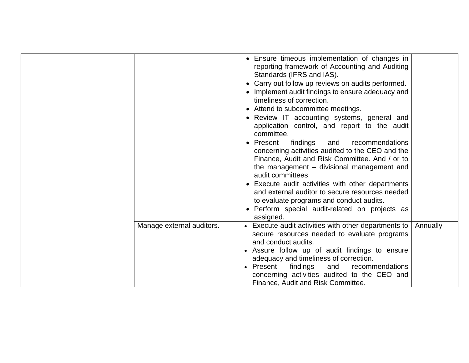|                           | • Ensure timeous implementation of changes in<br>reporting framework of Accounting and Auditing<br>Standards (IFRS and IAS).<br>• Carry out follow up reviews on audits performed.<br>• Implement audit findings to ensure adequacy and<br>timeliness of correction.<br>• Attend to subcommittee meetings.<br>• Review IT accounting systems, general and<br>application control, and report to the audit<br>committee.<br>• Present<br>findings<br>and<br>recommendations<br>concerning activities audited to the CEO and the<br>Finance, Audit and Risk Committee. And / or to<br>the management – divisional management and<br>audit committees<br>• Execute audit activities with other departments<br>and external auditor to secure resources needed<br>to evaluate programs and conduct audits.<br>• Perform special audit-related on projects as<br>assigned. |          |
|---------------------------|-----------------------------------------------------------------------------------------------------------------------------------------------------------------------------------------------------------------------------------------------------------------------------------------------------------------------------------------------------------------------------------------------------------------------------------------------------------------------------------------------------------------------------------------------------------------------------------------------------------------------------------------------------------------------------------------------------------------------------------------------------------------------------------------------------------------------------------------------------------------------|----------|
| Manage external auditors. | • Execute audit activities with other departments to<br>secure resources needed to evaluate programs<br>and conduct audits.<br>• Assure follow up of audit findings to ensure<br>adequacy and timeliness of correction.<br>findings<br>• Present<br>and<br>recommendations<br>concerning activities audited to the CEO and<br>Finance, Audit and Risk Committee.                                                                                                                                                                                                                                                                                                                                                                                                                                                                                                      | Annually |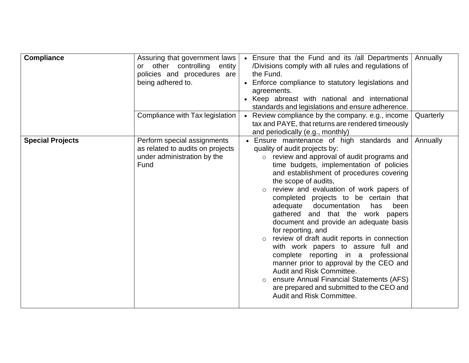| <b>Compliance</b>       | Assuring that government laws<br>other controlling entity<br>or<br>policies and procedures are<br>being adhered to.<br>Compliance with Tax legislation | • Ensure that the Fund and its /all Departments<br>/Divisions comply with all rules and regulations of<br>the Fund.<br>• Enforce compliance to statutory legislations and<br>agreements.<br>• Keep abreast with national and international<br>standards and legislations and ensure adherence.<br>• Review compliance by the company. e.g., income<br>tax and PAYE, that returns are rendered timeously<br>and periodically (e.g., monthly)                                                                                                                                                                                                                                                                                                                                                                                             | Annually<br>Quarterly |
|-------------------------|--------------------------------------------------------------------------------------------------------------------------------------------------------|-----------------------------------------------------------------------------------------------------------------------------------------------------------------------------------------------------------------------------------------------------------------------------------------------------------------------------------------------------------------------------------------------------------------------------------------------------------------------------------------------------------------------------------------------------------------------------------------------------------------------------------------------------------------------------------------------------------------------------------------------------------------------------------------------------------------------------------------|-----------------------|
| <b>Special Projects</b> | Perform special assignments<br>as related to audits on projects<br>under administration by the<br>Fund                                                 | • Ensure maintenance of high standards and<br>quality of audit projects by:<br>review and approval of audit programs and<br>$\circ$<br>time budgets, implementation of policies<br>and establishment of procedures covering<br>the scope of audits,<br>review and evaluation of work papers of<br>$\circ$<br>completed projects to be certain that<br>adequate documentation<br>has<br>been<br>gathered and that the work papers<br>document and provide an adequate basis<br>for reporting, and<br>review of draft audit reports in connection<br>$\circ$<br>with work papers to assure full and<br>complete reporting in a professional<br>manner prior to approval by the CEO and<br>Audit and Risk Committee.<br>ensure Annual Financial Statements (AFS)<br>are prepared and submitted to the CEO and<br>Audit and Risk Committee. | Annually              |